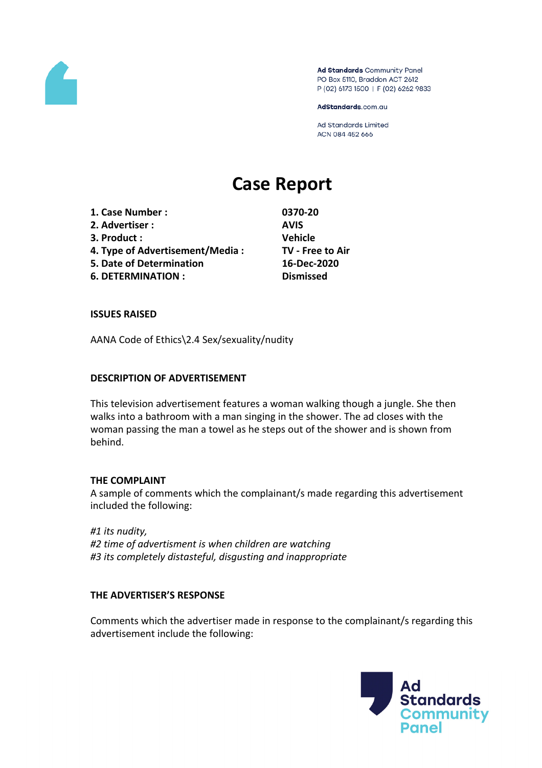

Ad Standards Community Panel PO Box 5110, Braddon ACT 2612 P (02) 6173 1500 | F (02) 6262 9833

AdStandards.com.au

Ad Standards Limited ACN 084 452 666

# **Case Report**

**1. Case Number : 0370-20 2. Advertiser : AVIS 3. Product : Vehicle 4. Type of Advertisement/Media : TV - Free to Air 5. Date of Determination 16-Dec-2020**

**6. DETERMINATION : Dismissed**

# **ISSUES RAISED**

AANA Code of Ethics\2.4 Sex/sexuality/nudity

# **DESCRIPTION OF ADVERTISEMENT**

This television advertisement features a woman walking though a jungle. She then walks into a bathroom with a man singing in the shower. The ad closes with the woman passing the man a towel as he steps out of the shower and is shown from behind.

# **THE COMPLAINT**

A sample of comments which the complainant/s made regarding this advertisement included the following:

*#1 its nudity, #2 time of advertisment is when children are watching #3 its completely distasteful, disgusting and inappropriate*

# **THE ADVERTISER'S RESPONSE**

Comments which the advertiser made in response to the complainant/s regarding this advertisement include the following:

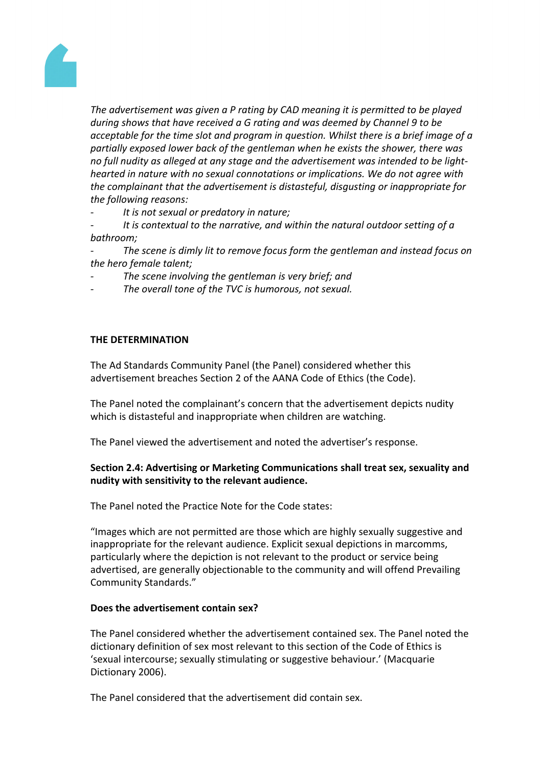

*The advertisement was given a P rating by CAD meaning it is permitted to be played during shows that have received a G rating and was deemed by Channel 9 to be acceptable for the time slot and program in question. Whilst there is a brief image of a partially exposed lower back of the gentleman when he exists the shower, there was no full nudity as alleged at any stage and the advertisement was intended to be lighthearted in nature with no sexual connotations or implications. We do not agree with the complainant that the advertisement is distasteful, disgusting or inappropriate for the following reasons:*

*- It is not sexual or predatory in nature;*

*- It is contextual to the narrative, and within the natural outdoor setting of a bathroom;*

*- The scene is dimly lit to remove focus form the gentleman and instead focus on the hero female talent;*

- *- The scene involving the gentleman is very brief; and*
- *- The overall tone of the TVC is humorous, not sexual.*

#### **THE DETERMINATION**

The Ad Standards Community Panel (the Panel) considered whether this advertisement breaches Section 2 of the AANA Code of Ethics (the Code).

The Panel noted the complainant's concern that the advertisement depicts nudity which is distasteful and inappropriate when children are watching.

The Panel viewed the advertisement and noted the advertiser's response.

# **Section 2.4: Advertising or Marketing Communications shall treat sex, sexuality and nudity with sensitivity to the relevant audience.**

The Panel noted the Practice Note for the Code states:

"Images which are not permitted are those which are highly sexually suggestive and inappropriate for the relevant audience. Explicit sexual depictions in marcomms, particularly where the depiction is not relevant to the product or service being advertised, are generally objectionable to the community and will offend Prevailing Community Standards."

#### **Does the advertisement contain sex?**

The Panel considered whether the advertisement contained sex. The Panel noted the dictionary definition of sex most relevant to this section of the Code of Ethics is 'sexual intercourse; sexually stimulating or suggestive behaviour.' (Macquarie Dictionary 2006).

The Panel considered that the advertisement did contain sex.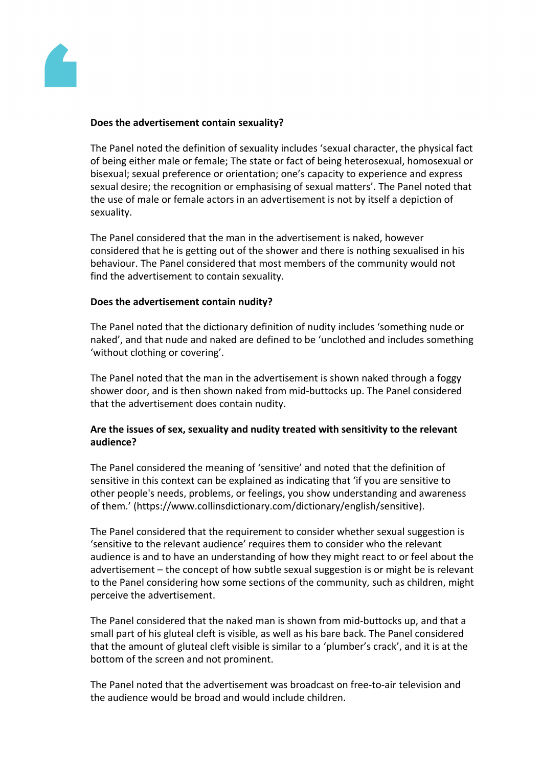

# **Does the advertisement contain sexuality?**

The Panel noted the definition of sexuality includes 'sexual character, the physical fact of being either male or female; The state or fact of being heterosexual, homosexual or bisexual; sexual preference or orientation; one's capacity to experience and express sexual desire; the recognition or emphasising of sexual matters'. The Panel noted that the use of male or female actors in an advertisement is not by itself a depiction of sexuality.

The Panel considered that the man in the advertisement is naked, however considered that he is getting out of the shower and there is nothing sexualised in his behaviour. The Panel considered that most members of the community would not find the advertisement to contain sexuality.

# **Does the advertisement contain nudity?**

The Panel noted that the dictionary definition of nudity includes 'something nude or naked', and that nude and naked are defined to be 'unclothed and includes something 'without clothing or covering'.

The Panel noted that the man in the advertisement is shown naked through a foggy shower door, and is then shown naked from mid-buttocks up. The Panel considered that the advertisement does contain nudity.

# **Are the issues of sex, sexuality and nudity treated with sensitivity to the relevant audience?**

The Panel considered the meaning of 'sensitive' and noted that the definition of sensitive in this context can be explained as indicating that 'if you are sensitive to other people's needs, problems, or feelings, you show understanding and awareness of them.' (https://www.collinsdictionary.com/dictionary/english/sensitive).

The Panel considered that the requirement to consider whether sexual suggestion is 'sensitive to the relevant audience' requires them to consider who the relevant audience is and to have an understanding of how they might react to or feel about the advertisement – the concept of how subtle sexual suggestion is or might be is relevant to the Panel considering how some sections of the community, such as children, might perceive the advertisement.

The Panel considered that the naked man is shown from mid-buttocks up, and that a small part of his gluteal cleft is visible, as well as his bare back. The Panel considered that the amount of gluteal cleft visible is similar to a 'plumber's crack', and it is at the bottom of the screen and not prominent.

The Panel noted that the advertisement was broadcast on free-to-air television and the audience would be broad and would include children.